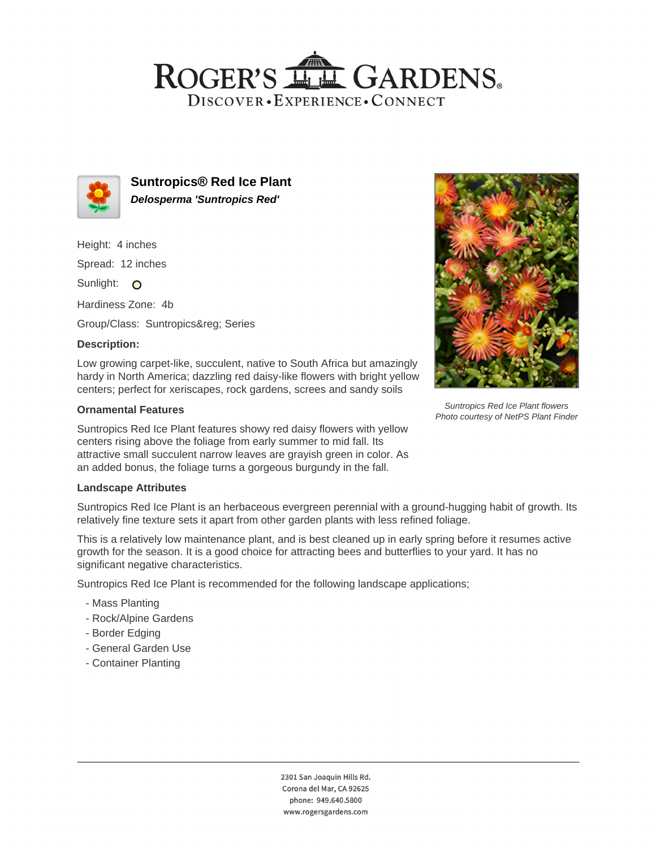## ROGER'S LL GARDENS. DISCOVER · EXPERIENCE · CONNECT



**Suntropics® Red Ice Plant Delosperma 'Suntropics Red'**

Height: 4 inches

Spread: 12 inches

Sunlight: O

Hardiness Zone: 4b

Group/Class: Suntropics® Series

### **Description:**

Low growing carpet-like, succulent, native to South Africa but amazingly hardy in North America; dazzling red daisy-like flowers with bright yellow centers; perfect for xeriscapes, rock gardens, screes and sandy soils

#### **Ornamental Features**

Suntropics Red Ice Plant features showy red daisy flowers with yellow centers rising above the foliage from early summer to mid fall. Its attractive small succulent narrow leaves are grayish green in color. As an added bonus, the foliage turns a gorgeous burgundy in the fall.

#### **Landscape Attributes**

Suntropics Red Ice Plant is an herbaceous evergreen perennial with a ground-hugging habit of growth. Its relatively fine texture sets it apart from other garden plants with less refined foliage.

This is a relatively low maintenance plant, and is best cleaned up in early spring before it resumes active growth for the season. It is a good choice for attracting bees and butterflies to your yard. It has no significant negative characteristics.

Suntropics Red Ice Plant is recommended for the following landscape applications;

- Mass Planting
- Rock/Alpine Gardens
- Border Edging
- General Garden Use
- Container Planting



Suntropics Red Ice Plant flowers Photo courtesy of NetPS Plant Finder